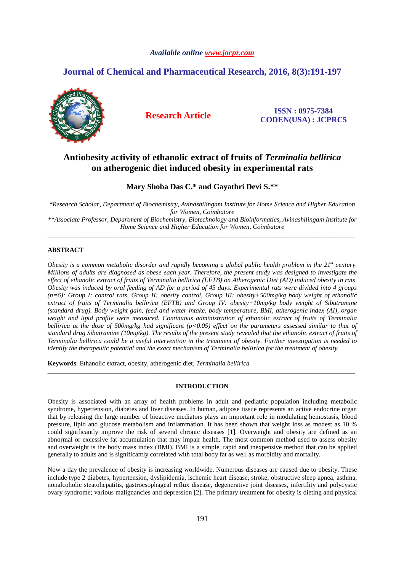# *Available online www.jocpr.com*

# **Journal of Chemical and Pharmaceutical Research, 2016, 8(3):191-197**



**Research Article ISSN : 0975-7384 CODEN(USA) : JCPRC5**

# **Antiobesity activity of ethanolic extract of fruits of** *Terminalia bellirica*  **on atherogenic diet induced obesity in experimental rats**

# **Mary Shoba Das C.\* and Gayathri Devi S.\*\***

*\*Research Scholar, Department of Biochemistry, Avinashilingam Institute for Home Science and Higher Education for Women, Coimbatore* 

*\*\*Associate Professor, Department of Biochemistry, Biotechnology and Bioinformatics, Avinashilingam Institute for Home Science and Higher Education for Women, Coimbatore*  \_\_\_\_\_\_\_\_\_\_\_\_\_\_\_\_\_\_\_\_\_\_\_\_\_\_\_\_\_\_\_\_\_\_\_\_\_\_\_\_\_\_\_\_\_\_\_\_\_\_\_\_\_\_\_\_\_\_\_\_\_\_\_\_\_\_\_\_\_\_\_\_\_\_\_\_\_\_\_\_\_\_\_\_\_\_\_\_\_\_\_\_\_

# **ABSTRACT**

*Obesity is a common metabolic disorder and rapidly becoming a global public health problem in the 21st century. Millions of adults are diagnosed as obese each year. Therefore, the present study was designed to investigate the effect of ethanolic extract of fruits of Terminalia bellirica (EFTB) on Atherogenic Diet (AD) induced obesity in rats. Obesity was induced by oral feeding of AD for a period of 45 days. Experimental rats were divided into 4 groups (n=6): Group I: control rats, Group II: obesity control, Group III: obesity+500mg/kg body weight of ethanolic extract of fruits of Terminalia bellirica (EFTB) and Group IV: obesity+10mg/kg body weight of Sibutramine (standard drug). Body weight gain, feed and water intake, body temperature, BMI, atherogenic index (AI), organ weight and lipid profile were measured. Continuous administration of ethanolic extract of fruits of Terminalia bellirica at the dose of 500mg/kg had significant (p<0.05) effect on the parameters assessed similar to that of standard drug Sibutramine (10mg/kg). The results of the present study revealed that the ethanolic extract of fruits of Terminalia bellirica could be a useful intervention in the treatment of obesity. Further investigation is needed to identify the therapeutic potential and the exact mechanism of Terminalia bellirica for the treatment of obesity.* 

**Keywords**: Ethanolic extract, obesity, atherogenic diet, *Terminalia bellirica* 

# **INTRODUCTION**

\_\_\_\_\_\_\_\_\_\_\_\_\_\_\_\_\_\_\_\_\_\_\_\_\_\_\_\_\_\_\_\_\_\_\_\_\_\_\_\_\_\_\_\_\_\_\_\_\_\_\_\_\_\_\_\_\_\_\_\_\_\_\_\_\_\_\_\_\_\_\_\_\_\_\_\_\_\_\_\_\_\_\_\_\_\_\_\_\_\_\_\_\_

Obesity is associated with an array of health problems in adult and pediatric population including metabolic syndrome, hypertension, diabetes and liver diseases. In human, adipose tissue represents an active endocrine organ that by releasing the large number of bioactive mediators plays an important role in modulating hemostasis, blood pressure, lipid and glucose metabolism and inflammation. It has been shown that weight loss as modest as 10 % could significantly improve the risk of several chronic diseases [1]. Overweight and obesity are defined as an abnormal or excessive fat accumulation that may impair health. The most common method used to assess obesity and overweight is the body mass index (BMI). BMI is a simple, rapid and inexpensive method that can be applied generally to adults and is significantly correlated with total body fat as well as morbidity and mortality.

Now a day the prevalence of obesity is increasing worldwide. Numerous diseases are caused due to obesity. These include type 2 diabetes, hypertension, dyslipidemia, ischemic heart disease, stroke, obstructive sleep apnea, asthma, nonalcoholic steatohepatitis, gastroesophageal reflux disease, degenerative joint diseases, infertility and polycystic ovary syndrome; various malignancies and depression [2]. The primary treatment for obesity is dieting and physical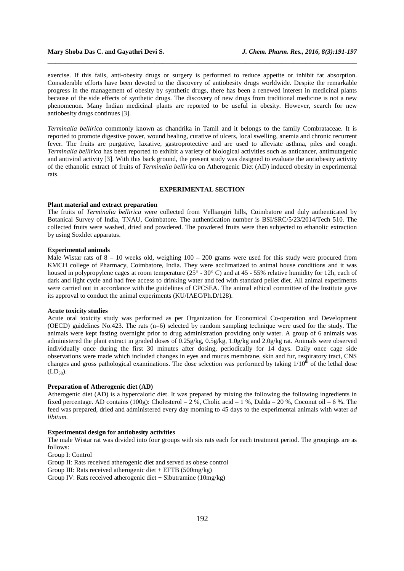### **Mary Shoba Das C. and Gayathri Devi S.** *J. Chem. Pharm. Res., 2016, 8(3):191-197*

exercise. If this fails, anti-obesity drugs or surgery is performed to reduce appetite or inhibit fat absorption. Considerable efforts have been devoted to the discovery of antiobesity drugs worldwide. Despite the remarkable progress in the management of obesity by synthetic drugs, there has been a renewed interest in medicinal plants because of the side effects of synthetic drugs. The discovery of new drugs from traditional medicine is not a new phenomenon. Many Indian medicinal plants are reported to be useful in obesity. However, search for new antiobesity drugs continues [3].

\_\_\_\_\_\_\_\_\_\_\_\_\_\_\_\_\_\_\_\_\_\_\_\_\_\_\_\_\_\_\_\_\_\_\_\_\_\_\_\_\_\_\_\_\_\_\_\_\_\_\_\_\_\_\_\_\_\_\_\_\_\_\_\_\_\_\_\_\_\_\_\_\_\_\_\_\_\_

*Terminalia bellirica* commonly known as dhandrika in Tamil and it belongs to the family Combrataceae. It is reported to promote digestive power, wound healing, curative of ulcers, local swelling, anemia and chronic recurrent fever. The fruits are purgative, laxative, gastroprotective and are used to alleviate asthma, piles and cough. *Terminalia bellirica* has been reported to exhibit a variety of biological activities such as anticancer, antimutagenic and antiviral activity [3]. With this back ground, the present study was designed to evaluate the antiobesity activity of the ethanolic extract of fruits of *Terminalia bellirica* on Atherogenic Diet (AD) induced obesity in experimental rats.

# **EXPERIMENTAL SECTION**

### **Plant material and extract preparation**

The fruits of *Terminalia bellirica* were collected from Velliangiri hills, Coimbatore and duly authenticated by Botanical Survey of India, TNAU, Coimbatore. The authentication number is BSI/SRC/5/23/2014/Tech 510. The collected fruits were washed, dried and powdered. The powdered fruits were then subjected to ethanolic extraction by using Soxhlet apparatus.

### **Experimental animals**

Male Wistar rats of  $8 - 10$  weeks old, weighing  $100 - 200$  grams were used for this study were procured from KMCH college of Pharmacy, Coimbatore, India. They were acclimatized to animal house conditions and it was housed in polypropylene cages at room temperature (25° - 30° C) and at 45 - 55% relative humidity for 12h, each of dark and light cycle and had free access to drinking water and fed with standard pellet diet. All animal experiments were carried out in accordance with the guidelines of CPCSEA. The animal ethical committee of the Institute gave its approval to conduct the animal experiments (KU/IAEC/Ph.D/128).

### **Acute toxicity studies**

Acute oral toxicity study was performed as per Organization for Economical Co-operation and Development (OECD) guidelines No.423. The rats (n=6) selected by random sampling technique were used for the study. The animals were kept fasting overnight prior to drug administration providing only water. A group of 6 animals was administered the plant extract in graded doses of 0.25g/kg, 0.5g/kg, 1.0g/kg and 2.0g/kg rat. Animals were observed individually once during the first 30 minutes after dosing, periodically for 14 days. Daily once cage side observations were made which included changes in eyes and mucus membrane, skin and fur, respiratory tract, CNS changes and gross pathological examinations. The dose selection was performed by taking  $1/10^{th}$  of the lethal dose  $(LD_{50})$ .

### **Preparation of Atherogenic diet (AD)**

Atherogenic diet (AD) is a hypercaloric diet. It was prepared by mixing the following the following ingredients in fixed percentage. AD contains (100g): Cholesterol – 2 %, Cholic acid – 1 %, Dalda – 20 %, Coconut oil – 6 %. The feed was prepared, dried and administered every day morning to 45 days to the experimental animals with water *ad libitum.* 

### **Experimental design for antiobesity activities**

The male Wistar rat was divided into four groups with six rats each for each treatment period. The groupings are as follows:

Group I: Control

Group II: Rats received atherogenic diet and served as obese control

Group III: Rats received atherogenic diet + EFTB (500mg/kg)

Group IV: Rats received atherogenic diet + Sibutramine (10mg/kg)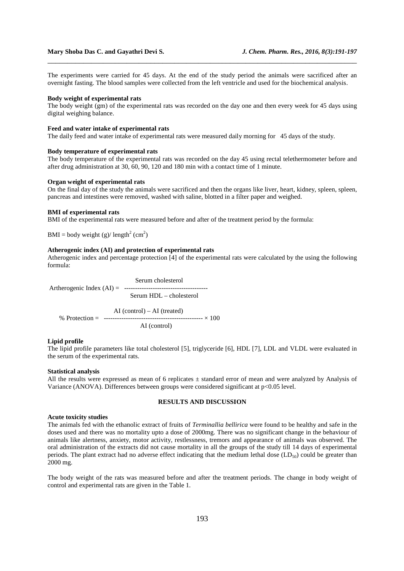The experiments were carried for 45 days. At the end of the study period the animals were sacrificed after an overnight fasting. The blood samples were collected from the left ventricle and used for the biochemical analysis.

\_\_\_\_\_\_\_\_\_\_\_\_\_\_\_\_\_\_\_\_\_\_\_\_\_\_\_\_\_\_\_\_\_\_\_\_\_\_\_\_\_\_\_\_\_\_\_\_\_\_\_\_\_\_\_\_\_\_\_\_\_\_\_\_\_\_\_\_\_\_\_\_\_\_\_\_\_\_

### **Body weight of experimental rats**

The body weight (gm) of the experimental rats was recorded on the day one and then every week for 45 days using digital weighing balance.

### **Feed and water intake of experimental rats**

The daily feed and water intake of experimental rats were measured daily morning for 45 days of the study.

### **Body temperature of experimental rats**

The body temperature of the experimental rats was recorded on the day 45 using rectal telethermometer before and after drug administration at 30, 60, 90, 120 and 180 min with a contact time of 1 minute.

### **Organ weight of experimental rats**

On the final day of the study the animals were sacrificed and then the organs like liver, heart, kidney, spleen, spleen, pancreas and intestines were removed, washed with saline, blotted in a filter paper and weighed.

### **BMI of experimental rats**

BMI of the experimental rats were measured before and after of the treatment period by the formula:

BMI = body weight (g)/  $length<sup>2</sup>$  (cm<sup>2</sup>)

# **Atherogenic index (AI) and protection of experimental rats**

Atherogenic index and percentage protection  $\overline{[4]}$  of the experimental rats were calculated by the using the following formula:

 Serum cholesterol Artherogenic Index (AI) = -------------------------------------- Serum HDL – cholesterol

 AI (control) – AI (treated) % Protection = --------------------------------------------- × 100 AI (control)

### **Lipid profile**

The lipid profile parameters like total cholesterol [5], triglyceride [6], HDL [7], LDL and VLDL were evaluated in the serum of the experimental rats.

# **Statistical analysis**

All the results were expressed as mean of 6 replicates  $\pm$  standard error of mean and were analyzed by Analysis of Variance (ANOVA). Differences between groups were considered significant at p<0.05 level.

### **RESULTS AND DISCUSSION**

#### **Acute toxicity studies**

The animals fed with the ethanolic extract of fruits of *Terminallia bellirica* were found to be healthy and safe in the doses used and there was no mortality upto a dose of 2000mg. There was no significant change in the behaviour of animals like alertness, anxiety, motor activity, restlessness, tremors and appearance of animals was observed. The oral administration of the extracts did not cause mortality in all the groups of the study till 14 days of experimental periods. The plant extract had no adverse effect indicating that the medium lethal dose  $(LD_{50})$  could be greater than 2000 mg.

The body weight of the rats was measured before and after the treatment periods. The change in body weight of control and experimental rats are given in the Table 1.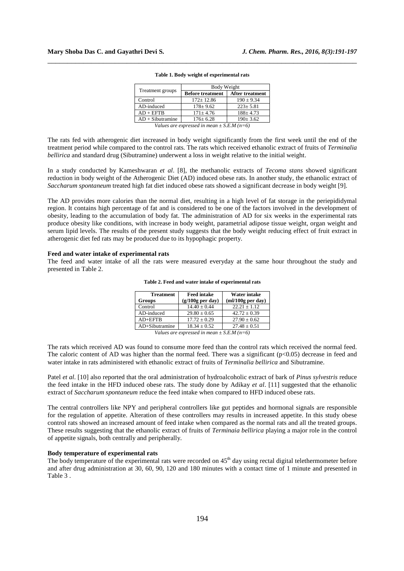| Treatment groups   | Body Weight             |                        |  |  |
|--------------------|-------------------------|------------------------|--|--|
|                    | <b>Before treatment</b> | <b>After treatment</b> |  |  |
| Control            | $172 \pm 12.86$         | $190 \pm 9.34$         |  |  |
| AD-induced         | $178 \pm 9.62$          | $223 \pm 5.81$         |  |  |
| $AD + EFTB$        | $171 \pm 4.76$          | $188 \pm 4.73$         |  |  |
| $AD + Sibutramine$ | $176 \pm 6.28$          | $190 \pm 3.62$         |  |  |
| $- -$              | . .<br>$\sim$           |                        |  |  |

#### **Table 1. Body weight of experimental rats**

\_\_\_\_\_\_\_\_\_\_\_\_\_\_\_\_\_\_\_\_\_\_\_\_\_\_\_\_\_\_\_\_\_\_\_\_\_\_\_\_\_\_\_\_\_\_\_\_\_\_\_\_\_\_\_\_\_\_\_\_\_\_\_\_\_\_\_\_\_\_\_\_\_\_\_\_\_\_

*Values are expressed in mean ± S.E.M (n=6)* 

The rats fed with atherogenic diet increased in body weight significantly from the first week until the end of the treatment period while compared to the control rats. The rats which received ethanolic extract of fruits of *Terminalia bellirica* and standard drug (Sibutramine) underwent a loss in weight relative to the initial weight.

In a study conducted by Kameshwaran *et al*. [8], the methanolic extracts of *Tecoma stans* showed significant reduction in body weight of the Atherogenic Diet (AD) induced obese rats. In another study, the ethanolic extract of *Saccharum spontaneum* treated high fat diet induced obese rats showed a significant decrease in body weight [9].

The AD provides more calories than the normal diet, resulting in a high level of fat storage in the periepididymal region. It contains high percentage of fat and is considered to be one of the factors involved in the development of obesity, leading to the accumulation of body fat. The administration of AD for six weeks in the experimental rats produce obesity like conditions, with increase in body weight, parametrial adipose tissue weight, organ weight and serum lipid levels. The results of the present study suggests that the body weight reducing effect of fruit extract in atherogenic diet fed rats may be produced due to its hypophagic property.

### **Feed and water intake of experimental rats**

The feed and water intake of all the rats were measured everyday at the same hour throughout the study and presented in Table 2.

| <b>Treatment</b> | <b>Feed intake</b> | <b>Water intake</b> |  |
|------------------|--------------------|---------------------|--|
| <b>Groups</b>    | $(g/100g$ per day) | $m!/100g$ per day)  |  |
| Control          | $14.40 \pm 0.44$   | $22.21 + 1.12$      |  |
| AD-induced       | $29.80 \pm 0.65$   | $42.72 \pm 0.39$    |  |
| $AD+EFTB$        | $17.72 \pm 0.29$   | $27.90 \pm 0.62$    |  |
| $AD+Sibutramine$ | $18.34 + 0.52$     | $27.48 \pm 0.51$    |  |

**Table 2. Feed and water intake of experimental rats**

*Values are expressed in mean ± S.E.M (n=6)* 

The rats which received AD was found to consume more feed than the control rats which received the normal feed. The caloric content of AD was higher than the normal feed. There was a significant  $(p<0.05)$  decrease in feed and water intake in rats administered with ethanolic extract of fruits of *Terminalia bellirica* and Sibutramine.

Patel *et al*. [10] also reported that the oral administration of hydroalcoholic extract of bark of *Pinus sylvestris* reduce the feed intake in the HFD induced obese rats. The study done by Adikay *et al*. [11] suggested that the ethanolic extract of *Saccharum spontaneum* reduce the feed intake when compared to HFD induced obese rats.

The central controllers like NPY and peripheral controllers like gut peptides and hormonal signals are responsible for the regulation of appetite. Alteration of these controllers may results in increased appetite. In this study obese control rats showed an increased amount of feed intake when compared as the normal rats and all the treated groups. These results suggesting that the ethanolic extract of fruits of *Terminaia bellirica* playing a major role in the control of appetite signals, both centrally and peripherally.

### **Body temperature of experimental rats**

The body temperature of the experimental rats were recorded on  $45<sup>th</sup>$  day using rectal digital telethermometer before and after drug administration at 30, 60, 90, 120 and 180 minutes with a contact time of 1 minute and presented in Table 3 .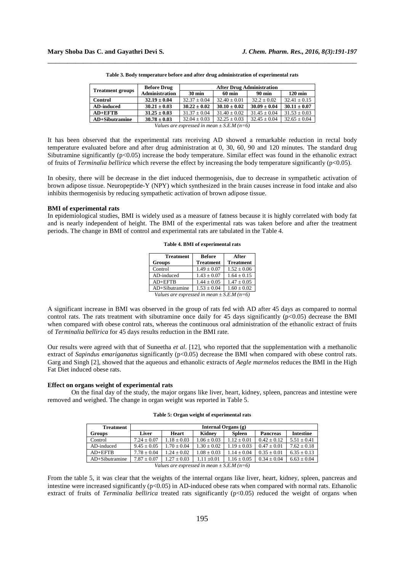| <b>Treatment groups</b>                      | <b>Before Drug</b>    | <b>After Drug Administration</b> |                  |                  |                   |  |
|----------------------------------------------|-----------------------|----------------------------------|------------------|------------------|-------------------|--|
|                                              | <b>Administration</b> | $30 \text{ min}$                 | <b>60 min</b>    | <b>90 min</b>    | $120 \text{ min}$ |  |
| <b>Control</b>                               | $32.19 \pm 0.04$      | $32.37 \pm 0.04$                 | $32.40 + 0.01$   | $32.2 + 0.02$    | $32.41 \pm 0.15$  |  |
| <b>AD-induced</b>                            | $30.21 \pm 0.03$      | $30.22 \pm 0.02$                 | $30.10 \pm 0.02$ | $30.09 \pm 0.04$ | $30.11 \pm 0.07$  |  |
| $AD+EFF$ $TR$                                | $31.25 \pm 0.03$      | $31.37 \pm 0.04$                 | $31.40 \pm 0.02$ | $31.45 \pm 0.04$ | $31.53 \pm 0.03$  |  |
| <b>AD+Sibutramine</b>                        | $30.78 \pm 0.03$      | $32.04 \pm 0.03$                 | $32.25 \pm 0.03$ | $32.45 \pm 0.04$ | $32.65 \pm 0.04$  |  |
| Values are expressed in mean $+ S E M (n=6)$ |                       |                                  |                  |                  |                   |  |

**Table 3. Body temperature before and after drug administration of experimental rats** 

\_\_\_\_\_\_\_\_\_\_\_\_\_\_\_\_\_\_\_\_\_\_\_\_\_\_\_\_\_\_\_\_\_\_\_\_\_\_\_\_\_\_\_\_\_\_\_\_\_\_\_\_\_\_\_\_\_\_\_\_\_\_\_\_\_\_\_\_\_\_\_\_\_\_\_\_\_\_

It has been observed that the experimental rats receiving AD showed a remarkable reduction in rectal body temperature evaluated before and after drug administration at 0, 30, 60, 90 and 120 minutes. The standard drug Sibutramine significantly  $(p<0.05)$  increase the body temperature. Similar effect was found in the ethanolic extract of fruits of *Terminalia bellirica* which reverse the effect by increasing the body temperature significantly (p<0.05).

In obesity, there will be decrease in the diet induced thermogenisis, due to decrease in sympathetic activation of brown adipose tissue. Neuropeptide-Y (NPY) which synthesized in the brain causes increase in food intake and also inhibits thermogenisis by reducing sympathetic activation of brown adipose tissue.

### **BMI of experimental rats**

In epidemiological studies, BMI is widely used as a measure of fatness because it is highly correlated with body fat and is nearly independent of height. The BMI of the experimental rats was taken before and after the treatment periods. The change in BMI of control and experimental rats are tabulated in the Table 4.

| <b>Treatment</b>                               | <b>Before</b>    | After            |  |  |
|------------------------------------------------|------------------|------------------|--|--|
| Groups                                         | <b>Treatment</b> | <b>Treatment</b> |  |  |
| Control                                        | $1.49 \pm 0.07$  | $1.52 \pm 0.06$  |  |  |
| AD-induced                                     | $1.43 \pm 0.07$  | $1.64 \pm 0.15$  |  |  |
| $AD+EFTB$                                      | $1.44 \pm 0.05$  | $1.47 \pm 0.05$  |  |  |
| $AD+Sibutramine$                               | $1.53 \pm 0.04$  | $1.60 \pm 0.02$  |  |  |
| Values are expressed in mean $\pm$ S.E.M (n=6) |                  |                  |  |  |

**Table 4. BMI of experimental rats** 

A significant increase in BMI was observed in the group of rats fed with AD after 45 days as compared to normal control rats. The rats treatment with sibutramine once daily for 45 days significantly  $(p<0.05)$  decrease the BMI when compared with obese control rats, whereas the continuous oral administration of the ethanolic extract of fruits of *Terminalia bellirica* for 45 days results reduction in the BMI rate.

Our results were agreed with that of Suneetha *et al*. [12], who reported that the supplementation with a methanolic extract of *Sapindus emariganatus* significantly (p<0.05) decrease the BMI when compared with obese control rats. Garg and Singh [2], showed that the aqueous and ethanolic extracts of *Aegle marmelos* reduces the BMI in the High Fat Diet induced obese rats.

### **Effect on organs weight of experimental rats**

On the final day of the study, the major organs like liver, heart, kidney, spleen, pancreas and intestine were removed and weighed. The change in organ weight was reported in Table 5.

#### **Table 5: Organ weight of experimental rats**

| <b>Treatment</b> | Internal Organs $(g)$ |                 |                 |                 |                 |                  |
|------------------|-----------------------|-----------------|-----------------|-----------------|-----------------|------------------|
| Groups           | Liver                 | Heart           | Kidney          | <b>Spleen</b>   | <b>Pancreas</b> | <b>Intestine</b> |
| Control          | $7.24 + 0.07$         | $1.18 + 0.03$   | $1.06 \pm 0.03$ | $1.12 + 0.01$   | $0.42 + 0.12$   | $5.51 + 0.41$    |
| AD-induced       | $9.45 + 0.05$         | $1.70 + 0.04$   | $1.30 + 0.02$   | $1.19 + 0.03$   | $0.47 + 0.01$   | $7.62 + 0.18$    |
| $AD+EFFB$        | $7.78 + 0.04$         | $1.24 + 0.02$   | $1.08 + 0.03$   | $1.14 + 0.04$   | $0.35 \pm 0.01$ | $6.35 \pm 0.13$  |
| $AD+Sibutramine$ | $7.87 + 0.07$         | $1.27 \pm 0.03$ | $1.11 + 0.01$   | $1.16 + 0.05$   | $0.34 \pm 0.04$ | $6.63 \pm 0.04$  |
|                  | $-1$                  |                 | $\cdot$ $\cdot$ | $\sim$<br>----- |                 |                  |

*Values are expressed in mean ± S.E.M (n=6)* 

From the table 5, it was clear that the weights of the internal organs like liver, heart, kidney, spleen, pancreas and intestine were increased significantly (p<0.05) in AD-induced obese rats when compared with normal rats. Ethanolic extract of fruits of *Terminalia bellirica* treated rats significantly (p<0.05) reduced the weight of organs when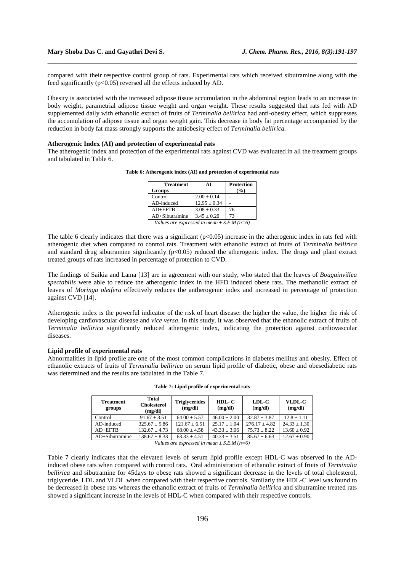compared with their respective control group of rats. Experimental rats which received sibutramine along with the feed significantly (p<0.05) reversed all the effects induced by AD.

\_\_\_\_\_\_\_\_\_\_\_\_\_\_\_\_\_\_\_\_\_\_\_\_\_\_\_\_\_\_\_\_\_\_\_\_\_\_\_\_\_\_\_\_\_\_\_\_\_\_\_\_\_\_\_\_\_\_\_\_\_\_\_\_\_\_\_\_\_\_\_\_\_\_\_\_\_\_

Obesity is associated with the increased adipose tissue accumulation in the abdominal region leads to an increase in body weight, parametrial adipose tissue weight and organ weight. These results suggested that rats fed with AD supplemented daily with ethanolic extract of fruits of *Terminalia bellirica* had anti-obesity effect, which suppresses the accumulation of adipose tissue and organ weight gain. This decrease in body fat percentage accompanied by the reduction in body fat mass strongly supports the antiobesity effect of *Terminalia bellirica.* 

### **Atherogenic Index (AI) and protection of experimental rats**

The atherogenic index and protection of the experimental rats against CVD was evaluated in all the treatment groups and tabulated in Table 6.

| <b>Treatment</b>                               | AI               | <b>Protection</b> |  |  |
|------------------------------------------------|------------------|-------------------|--|--|
| <b>Groups</b>                                  |                  | $($ %)            |  |  |
| Control                                        | $2.00 \pm 0.14$  |                   |  |  |
| AD-induced                                     | $12.95 \pm 0.34$ |                   |  |  |
| $AD + EFTB$                                    | $3.08 \pm 0.33$  | 76                |  |  |
| AD+Sibutramine                                 | $3.45 \pm 0.20$  | 73                |  |  |
| Values are expressed in mean $\pm$ S.E.M (n=6) |                  |                   |  |  |

**Table 6: Atherogenic index (AI) and protection of experimental rats** 

The table 6 clearly indicates that there was a significant  $(p<0.05)$  increase in the atherogenic index in rats fed with atherogenic diet when compared to control rats. Treatment with ethanolic extract of fruits of *Terminalia bellirica*  and standard drug sibutramine significantly  $(p<0.05)$  reduced the atherogenic index. The drugs and plant extract treated groups of rats increased in percentage of protection to CVD.

The findings of Saikia and Lama [13] are in agreement with our study, who stated that the leaves of *Bougainvillea spectabilis* were able to reduce the atherogenic index in the HFD induced obese rats. The methanolic extract of leaves of *Moringa oleifera* effectively reduces the antherogenic index and increased in percentage of protection against CVD [14].

Atherogenic index is the powerful indicator of the risk of heart disease: the higher the value, the higher the risk of developing cardiovascular disease and *vice versa*. In this study, it was observed that the ethanolic extract of fruits of *Terminalia bellirica* significantly reduced atherogenic index, indicating the protection against cardiovascular diseases.

### **Lipid profile of experimental rats**

Abnormalities in lipid profile are one of the most common complications in diabetes mellitus and obesity. Effect of ethanolic extracts of fruits of *Terminalia bellirica* on serum lipid profile of diabetic, obese and obesediabetic rats was determined and the results are tabulated in the Table 7.

| <b>Treatment</b><br>groups | Total<br><b>Cholesterol</b><br>(mg/dl) | <b>Triglycerides</b><br>(mg/dl) | $HDL-C$<br>(mg/dl) | $LDL-C$<br>(mg/dl) | VLDL-C<br>(mg/dl) |
|----------------------------|----------------------------------------|---------------------------------|--------------------|--------------------|-------------------|
| Control                    | $91.67 + 3.51$                         | $64.00 + 5.57$                  | $46.00 \pm 2.00$   | $32.87 + 3.87$     | $12.8 + 1.11$     |
| AD-induced                 | $325.67 \pm 5.86$                      | $121.67 + 6.51$                 | $25.17 + 1.04$     | $276.17 + 4.82$    | $24.33 + 1.30$    |
| $AD+EFTB$                  | $132.67 + 4.73$                        | $68.00 + 4.58$                  | $43.33 \pm 3.06$   | $75.73 \pm 8.22$   | $13.60 \pm 0.92$  |
| $AD+Sibutramine$           | $138.67 \pm 8.33$                      | $63.33 + 4.51$                  | $40.33 \pm 3.51$   | $85.67 + 6.63$     | $12.67 \pm 0.90$  |

**Table 7: Lipid profile of experimental rats** 

*Values are expressed in mean ± S.E.M (n=6)* 

Table 7 clearly indicates that the elevated levels of serum lipid profile except HDL-C was observed in the ADinduced obese rats when compared with control rats. Oral administration of ethanolic extract of fruits of *Terminalia bellirica* and sibutramine for 45days to obese rats showed a significant decrease in the levels of total cholesterol, triglyceride, LDL and VLDL when compared with their respective controls. Similarly the HDL-C level was found to be decreased in obese rats whereas the ethanolic extract of fruits of *Terminalia bellirica* and sibutramine treated rats showed a significant increase in the levels of HDL-C when compared with their respective controls.